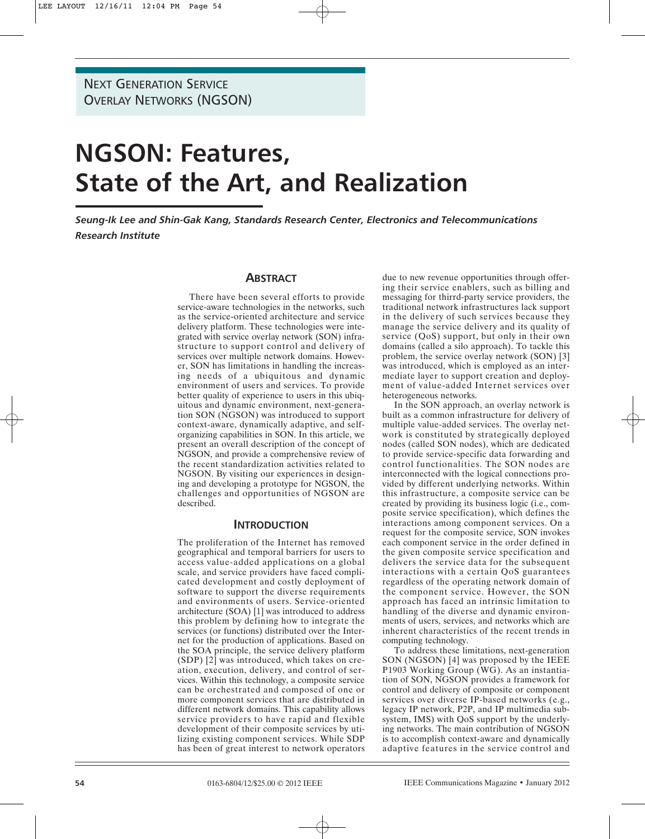# **NGSON: Features, State of the Art, and Realization**

*Seung-Ik Lee and Shin-Gak Kang, Standards Research Center, Electronics and Telecommunications Research Institute*

### **ABSTRACT**

There have been several efforts to provide service-aware technologies in the networks, such as the service-oriented architecture and service delivery platform. These technologies were integrated with service overlay network (SON) infrastructure to support control and delivery of services over multiple network domains. However, SON has limitations in handling the increasing needs of a ubiquitous and dynamic environment of users and services. To provide better quality of experience to users in this ubiquitous and dynamic environment, next-generation SON (NGSON) was introduced to support context-aware, dynamically adaptive, and selforganizing capabilities in SON. In this article, we present an overall description of the concept of NGSON, and provide a comprehensive review of the recent standardization activities related to NGSON. By visiting our experiences in designing and developing a prototype for NGSON, the challenges and opportunities of NGSON are described.

#### **INTRODUCTION**

The proliferation of the Internet has removed geographical and temporal barriers for users to access value-added applications on a global scale, and service providers have faced complicated development and costly deployment of software to support the diverse requirements and environments of users. Service-oriented architecture (SOA) [1] was introduced to address this problem by defining how to integrate the services (or functions) distributed over the Internet for the production of applications. Based on the SOA principle, the service delivery platform (SDP) [2] was introduced, which takes on creation, execution, delivery, and control of services. Within this technology, a composite service can be orchestrated and composed of one or more component services that are distributed in different network domains. This capability allows service providers to have rapid and flexible development of their composite services by utilizing existing component services. While SDP has been of great interest to network operators

due to new revenue opportunities through offering their service enablers, such as billing and messaging for thirrd-party service providers, the traditional network infrastructures lack support in the delivery of such services because they manage the service delivery and its quality of service (QoS) support, but only in their own domains (called a silo approach). To tackle this problem, the service overlay network (SON) [3] was introduced, which is employed as an intermediate layer to support creation and deployment of value-added Internet services over heterogeneous networks.

In the SON approach, an overlay network is built as a common infrastructure for delivery of multiple value-added services. The overlay network is constituted by strategically deployed nodes (called SON nodes), which are dedicated to provide service-specific data forwarding and control functionalities. The SON nodes are interconnected with the logical connections provided by different underlying networks. Within this infrastructure, a composite service can be created by providing its business logic (i.e., composite service specification), which defines the interactions among component services. On a request for the composite service, SON invokes each component service in the order defined in the given composite service specification and delivers the service data for the subsequent interactions with a certain QoS guarantees regardless of the operating network domain of the component service. However, the SON approach has faced an intrinsic limitation to handling of the diverse and dynamic environments of users, services, and networks which are inherent characteristics of the recent trends in computing technology.

To address these limitations, next-generation SON (NGSON) [4] was proposed by the IEEE P1903 Working Group (WG). As an instantiation of SON, NGSON provides a framework for control and delivery of composite or component services over diverse IP-based networks (e.g., legacy IP network, P2P, and IP multimedia subsystem, IMS) with QoS support by the underlying networks. The main contribution of NGSON is to accomplish context-aware and dynamically adaptive features in the service control and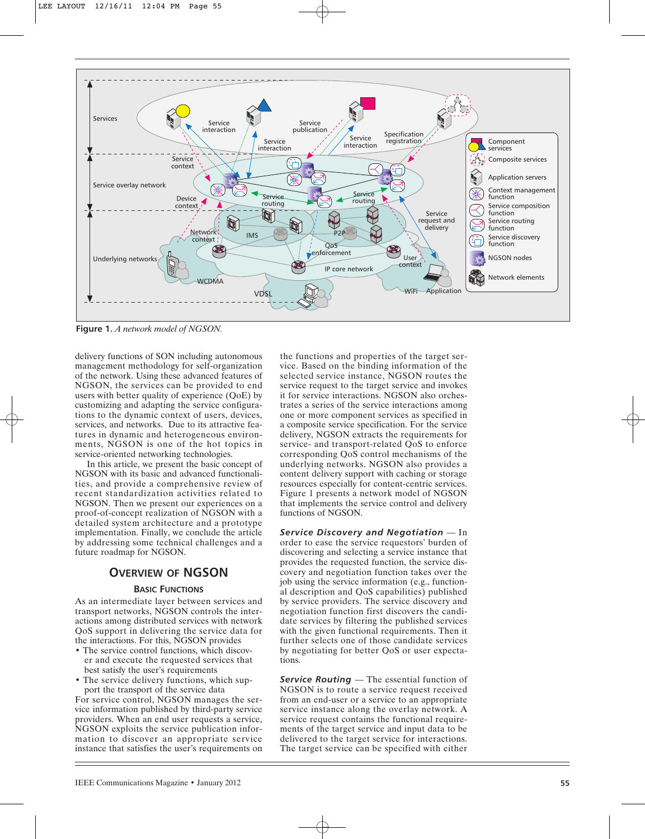

**Figure 1.** *A network model of NGSON.*

delivery functions of SON including autonomous management methodology for self-organization of the network. Using these advanced features of NGSON, the services can be provided to end users with better quality of experience (QoE) by customizing and adapting the service configurations to the dynamic context of users, devices, services, and networks. Due to its attractive features in dynamic and heterogeneous environments, NGSON is one of the hot topics in service-oriented networking technologies.

In this article, we present the basic concept of NGSON with its basic and advanced functionalities, and provide a comprehensive review of recent standardization activities related to NGSON. Then we present our experiences on a proof-of-concept realization of NGSON with a detailed system architecture and a prototype implementation. Finally, we conclude the article by addressing some technical challenges and a future roadmap for NGSON.

# **OVERVIEW OF NGSON**

#### **BASIC FUNCTIONS**

As an intermediate layer between services and transport networks, NGSON controls the interactions among distributed services with network QoS support in delivering the service data for the interactions. For this, NGSON provides

- The service control functions, which discover and execute the requested services that best satisfy the user's requirements
- The service delivery functions, which support the transport of the service data

For service control, NGSON manages the service information published by third-party service providers. When an end user requests a service, NGSON exploits the service publication information to discover an appropriate service instance that satisfies the user's requirements on

the functions and properties of the target service. Based on the binding information of the selected service instance, NGSON routes the service request to the target service and invokes it for service interactions. NGSON also orchestrates a series of the service interactions among one or more component services as specified in a composite service specification. For the service delivery, NGSON extracts the requirements for service- and transport-related QoS to enforce corresponding QoS control mechanisms of the underlying networks. NGSON also provides a content delivery support with caching or storage resources especially for content-centric services. Figure 1 presents a network model of NGSON that implements the service control and delivery functions of NGSON.

*Service Discovery and Negotiation* — In order to ease the service requestors' burden of discovering and selecting a service instance that provides the requested function, the service discovery and negotiation function takes over the job using the service information (e.g., functional description and QoS capabilities) published by service providers. The service discovery and negotiation function first discovers the candidate services by filtering the published services with the given functional requirements. Then it further selects one of those candidate services by negotiating for better QoS or user expectations.

*Service Routing* — The essential function of NGSON is to route a service request received from an end-user or a service to an appropriate service instance along the overlay network. A service request contains the functional requirements of the target service and input data to be delivered to the target service for interactions. The target service can be specified with either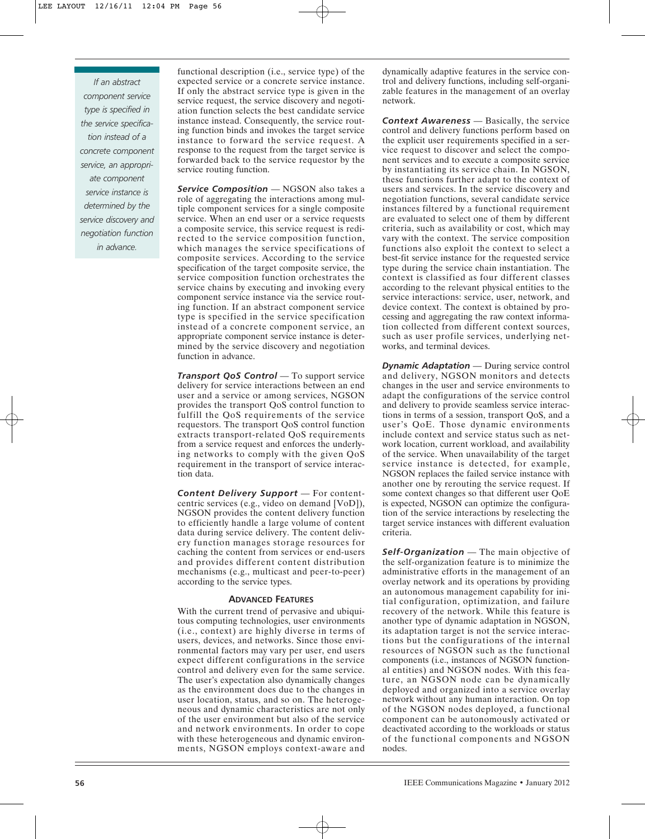*If an abstract component service type is specified in the service specification instead of a concrete component service, an appropriate component service instance is determined by the service discovery and negotiation function in advance.*

functional description (i.e., service type) of the expected service or a concrete service instance. If only the abstract service type is given in the service request, the service discovery and negotiation function selects the best candidate service instance instead. Consequently, the service routing function binds and invokes the target service instance to forward the service request. A response to the request from the target service is forwarded back to the service requestor by the service routing function.

*Service Composition* — NGSON also takes a role of aggregating the interactions among multiple component services for a single composite service. When an end user or a service requests a composite service, this service request is redirected to the service composition function, which manages the service specifications of composite services. According to the service specification of the target composite service, the service composition function orchestrates the service chains by executing and invoking every component service instance via the service routing function. If an abstract component service type is specified in the service specification instead of a concrete component service, an appropriate component service instance is determined by the service discovery and negotiation function in advance.

*Transport QoS Control* — To support service delivery for service interactions between an end user and a service or among services, NGSON provides the transport QoS control function to fulfill the QoS requirements of the service requestors. The transport QoS control function extracts transport-related QoS requirements from a service request and enforces the underlying networks to comply with the given QoS requirement in the transport of service interaction data.

*Content Delivery Support* — For contentcentric services (e.g., video on demand [VoD]), NGSON provides the content delivery function to efficiently handle a large volume of content data during service delivery. The content delivery function manages storage resources for caching the content from services or end-users and provides different content distribution mechanisms (e.g., multicast and peer-to-peer) according to the service types.

#### **ADVANCED FEATURES**

With the current trend of pervasive and ubiquitous computing technologies, user environments (i.e., context) are highly diverse in terms of users, devices, and networks. Since those environmental factors may vary per user, end users expect different configurations in the service control and delivery even for the same service. The user's expectation also dynamically changes as the environment does due to the changes in user location, status, and so on. The heterogeneous and dynamic characteristics are not only of the user environment but also of the service and network environments. In order to cope with these heterogeneous and dynamic environments, NGSON employs context-aware and dynamically adaptive features in the service control and delivery functions, including self-organizable features in the management of an overlay network.

*Context Awareness* — Basically, the service control and delivery functions perform based on the explicit user requirements specified in a service request to discover and select the component services and to execute a composite service by instantiating its service chain. In NGSON, these functions further adapt to the context of users and services. In the service discovery and negotiation functions, several candidate service instances filtered by a functional requirement are evaluated to select one of them by different criteria, such as availability or cost, which may vary with the context. The service composition functions also exploit the context to select a best-fit service instance for the requested service type during the service chain instantiation. The context is classified as four different classes according to the relevant physical entities to the service interactions: service, user, network, and device context. The context is obtained by processing and aggregating the raw context information collected from different context sources, such as user profile services, underlying networks, and terminal devices.

*Dynamic Adaptation* — During service control and delivery, NGSON monitors and detects changes in the user and service environments to adapt the configurations of the service control and delivery to provide seamless service interactions in terms of a session, transport QoS, and a user's QoE. Those dynamic environments include context and service status such as network location, current workload, and availability of the service. When unavailability of the target service instance is detected, for example, NGSON replaces the failed service instance with another one by rerouting the service request. If some context changes so that different user QoE is expected, NGSON can optimize the configuration of the service interactions by reselecting the target service instances with different evaluation criteria.

*Self-Organization* — The main objective of the self-organization feature is to minimize the administrative efforts in the management of an overlay network and its operations by providing an autonomous management capability for initial configuration, optimization, and failure recovery of the network. While this feature is another type of dynamic adaptation in NGSON, its adaptation target is not the service interactions but the configurations of the internal resources of NGSON such as the functional components (i.e., instances of NGSON functional entities) and NGSON nodes. With this feature, an NGSON node can be dynamically deployed and organized into a service overlay network without any human interaction. On top of the NGSON nodes deployed, a functional component can be autonomously activated or deactivated according to the workloads or status of the functional components and NGSON nodes.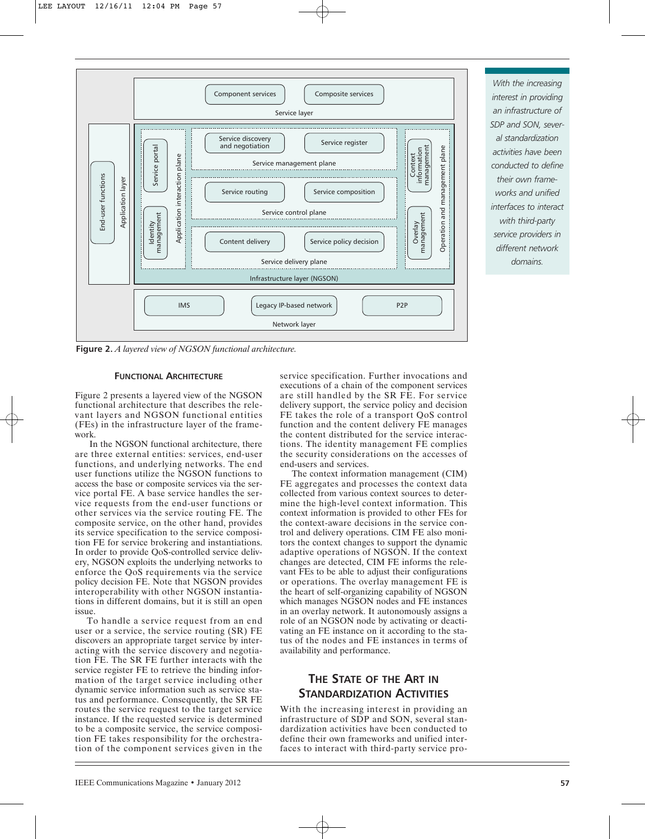

*With the increasing interest in providing an infrastructure of SDP and SON, several standardization activities have been conducted to define their own frameworks and unified interfaces to interact with third-party service providers in different network domains.*

**Figure 2.** *A layered view of NGSON functional architecture.*

#### **FUNCTIONAL ARCHITECTURE**

Figure 2 presents a layered view of the NGSON functional architecture that describes the relevant layers and NGSON functional entities (FEs) in the infrastructure layer of the framework.

In the NGSON functional architecture, there are three external entities: services, end-user functions, and underlying networks. The end user functions utilize the NGSON functions to access the base or composite services via the service portal FE. A base service handles the service requests from the end-user functions or other services via the service routing FE. The composite service, on the other hand, provides its service specification to the service composition FE for service brokering and instantiations. In order to provide QoS-controlled service delivery, NGSON exploits the underlying networks to enforce the QoS requirements via the service policy decision FE. Note that NGSON provides interoperability with other NGSON instantiations in different domains, but it is still an open issue.

To handle a service request from an end user or a service, the service routing (SR) FE discovers an appropriate target service by interacting with the service discovery and negotiation FE. The SR FE further interacts with the service register FE to retrieve the binding information of the target service including other dynamic service information such as service status and performance. Consequently, the SR FE routes the service request to the target service instance. If the requested service is determined to be a composite service, the service composition FE takes responsibility for the orchestration of the component services given in the service specification. Further invocations and executions of a chain of the component services are still handled by the SR FE. For service delivery support, the service policy and decision FE takes the role of a transport QoS control function and the content delivery FE manages the content distributed for the service interactions. The identity management FE complies the security considerations on the accesses of end-users and services.

The context information management (CIM) FE aggregates and processes the context data collected from various context sources to determine the high-level context information. This context information is provided to other FEs for the context-aware decisions in the service control and delivery operations. CIM FE also monitors the context changes to support the dynamic adaptive operations of NGSON. If the context changes are detected, CIM FE informs the relevant FEs to be able to adjust their configurations or operations. The overlay management FE is the heart of self-organizing capability of NGSON which manages NGSON nodes and FE instances in an overlay network. It autonomously assigns a role of an NGSON node by activating or deactivating an FE instance on it according to the status of the nodes and FE instances in terms of availability and performance.

# **THE STATE OF THE ART IN STANDARDIZATION ACTIVITIES**

With the increasing interest in providing an infrastructure of SDP and SON, several standardization activities have been conducted to define their own frameworks and unified interfaces to interact with third-party service pro-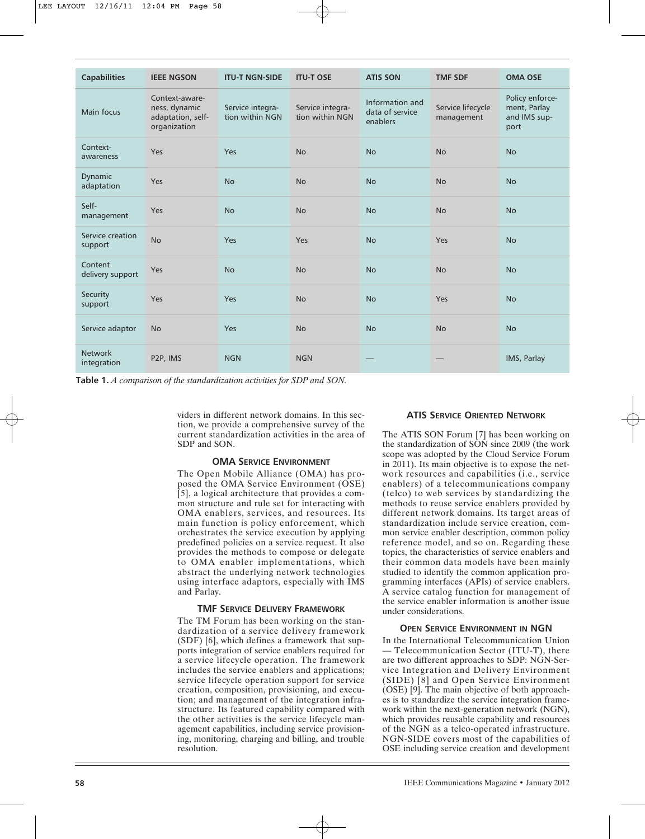| <b>Capabilities</b>           | <b>IEEE NGSON</b>                                                    | <b>ITU-T NGN-SIDE</b>               | <b>ITU-T OSE</b>                    | <b>ATIS SON</b>                                | <b>TMF SDF</b>                  | <b>OMA OSE</b>                                          |
|-------------------------------|----------------------------------------------------------------------|-------------------------------------|-------------------------------------|------------------------------------------------|---------------------------------|---------------------------------------------------------|
| <b>Main focus</b>             | Context-aware-<br>ness, dynamic<br>adaptation, self-<br>organization | Service integra-<br>tion within NGN | Service integra-<br>tion within NGN | Information and<br>data of service<br>enablers | Service lifecycle<br>management | Policy enforce-<br>ment, Parlay<br>and IMS sup-<br>port |
| Context-<br>awareness         | Yes                                                                  | Yes                                 | <b>No</b>                           | <b>No</b>                                      | <b>No</b>                       | <b>No</b>                                               |
| <b>Dynamic</b><br>adaptation  | Yes                                                                  | <b>No</b>                           | <b>No</b>                           | <b>No</b>                                      | <b>No</b>                       | <b>No</b>                                               |
| Self-<br>management           | <b>Yes</b>                                                           | <b>No</b>                           | <b>No</b>                           | <b>No</b>                                      | <b>No</b>                       | <b>No</b>                                               |
| Service creation<br>support   | <b>No</b>                                                            | Yes                                 | Yes                                 | <b>No</b>                                      | Yes                             | <b>No</b>                                               |
| Content<br>delivery support   | Yes                                                                  | <b>No</b>                           | <b>No</b>                           | <b>No</b>                                      | <b>No</b>                       | <b>No</b>                                               |
| Security<br>support           | Yes                                                                  | Yes                                 | <b>No</b>                           | <b>No</b>                                      | Yes                             | <b>No</b>                                               |
| Service adaptor               | <b>No</b>                                                            | Yes                                 | <b>No</b>                           | <b>No</b>                                      | <b>No</b>                       | <b>No</b>                                               |
| <b>Network</b><br>integration | P2P, IMS                                                             | <b>NGN</b>                          | <b>NGN</b>                          |                                                |                                 | IMS, Parlay                                             |

**Table 1.** *A comparison of the standardization activities for SDP and SON.*

viders in different network domains. In this section, we provide a comprehensive survey of the current standardization activities in the area of SDP and SON.

#### **OMA SERVICE ENVIRONMENT**

The Open Mobile Alliance (OMA) has proposed the OMA Service Environment (OSE) [5], a logical architecture that provides a common structure and rule set for interacting with OMA enablers, services, and resources. Its main function is policy enforcement, which orchestrates the service execution by applying predefined policies on a service request. It also provides the methods to compose or delegate to OMA enabler implementations, which abstract the underlying network technologies using interface adaptors, especially with IMS and Parlay.

#### **TMF SERVICE DELIVERY FRAMEWORK**

The TM Forum has been working on the standardization of a service delivery framework (SDF) [6], which defines a framework that supports integration of service enablers required for a service lifecycle operation. The framework includes the service enablers and applications; service lifecycle operation support for service creation, composition, provisioning, and execution; and management of the integration infrastructure. Its featured capability compared with the other activities is the service lifecycle management capabilities, including service provisioning, monitoring, charging and billing, and trouble resolution.

#### **ATIS SERVICE ORIENTED NETWORK**

The ATIS SON Forum [7] has been working on the standardization of SON since 2009 (the work scope was adopted by the Cloud Service Forum in 2011). Its main objective is to expose the network resources and capabilities (i.e., service enablers) of a telecommunications company (telco) to web services by standardizing the methods to reuse service enablers provided by different network domains. Its target areas of standardization include service creation, common service enabler description, common policy reference model, and so on. Regarding these topics, the characteristics of service enablers and their common data models have been mainly studied to identify the common application programming interfaces (APIs) of service enablers. A service catalog function for management of the service enabler information is another issue under considerations.

#### **OPEN SERVICE ENVIRONMENT IN NGN**

In the International Telecommunication Union — Telecommunication Sector (ITU-T), there are two different approaches to SDP: NGN-Service Integration and Delivery Environment (SIDE) [8] and Open Service Environment (OSE) [9]. The main objective of both approaches is to standardize the service integration framework within the next-generation network (NGN), which provides reusable capability and resources of the NGN as a telco-operated infrastructure. NGN-SIDE covers most of the capabilities of OSE including service creation and development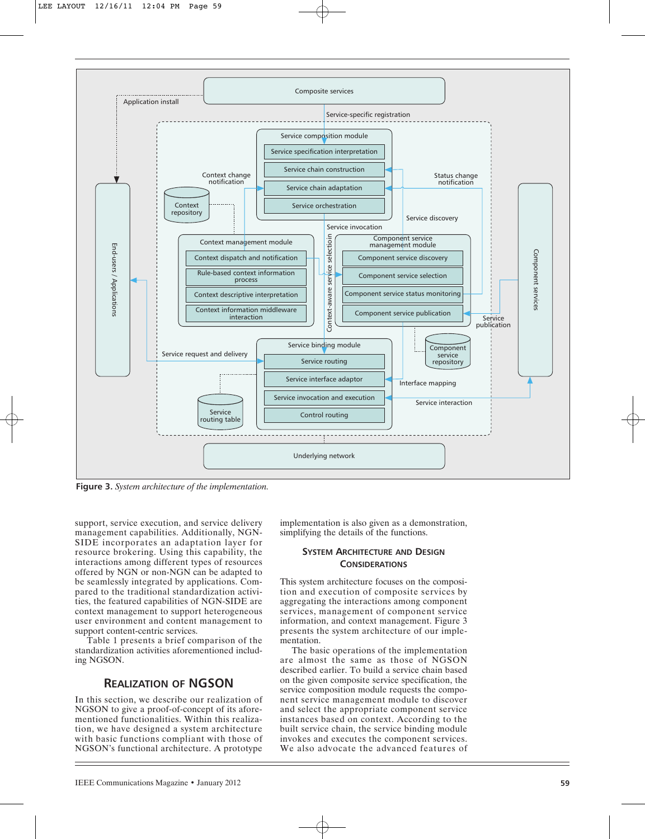

**Figure 3.** *System architecture of the implementation.*

support, service execution, and service delivery management capabilities. Additionally, NGN-SIDE incorporates an adaptation layer for resource brokering. Using this capability, the interactions among different types of resources offered by NGN or non-NGN can be adapted to be seamlessly integrated by applications. Compared to the traditional standardization activities, the featured capabilities of NGN-SIDE are context management to support heterogeneous user environment and content management to support content-centric services.

Table 1 presents a brief comparison of the standardization activities aforementioned including NGSON.

# **REALIZATION OF NGSON**

In this section, we describe our realization of NGSON to give a proof-of-concept of its aforementioned functionalities. Within this realization, we have designed a system architecture with basic functions compliant with those of NGSON's functional architecture. A prototype implementation is also given as a demonstration, simplifying the details of the functions.

#### **SYSTEM ARCHITECTURE AND DESIGN CONSIDERATIONS**

This system architecture focuses on the composition and execution of composite services by aggregating the interactions among component services, management of component service information, and context management. Figure 3 presents the system architecture of our implementation.

The basic operations of the implementation are almost the same as those of NGSON described earlier. To build a service chain based on the given composite service specification, the service composition module requests the component service management module to discover and select the appropriate component service instances based on context. According to the built service chain, the service binding module invokes and executes the component services. We also advocate the advanced features of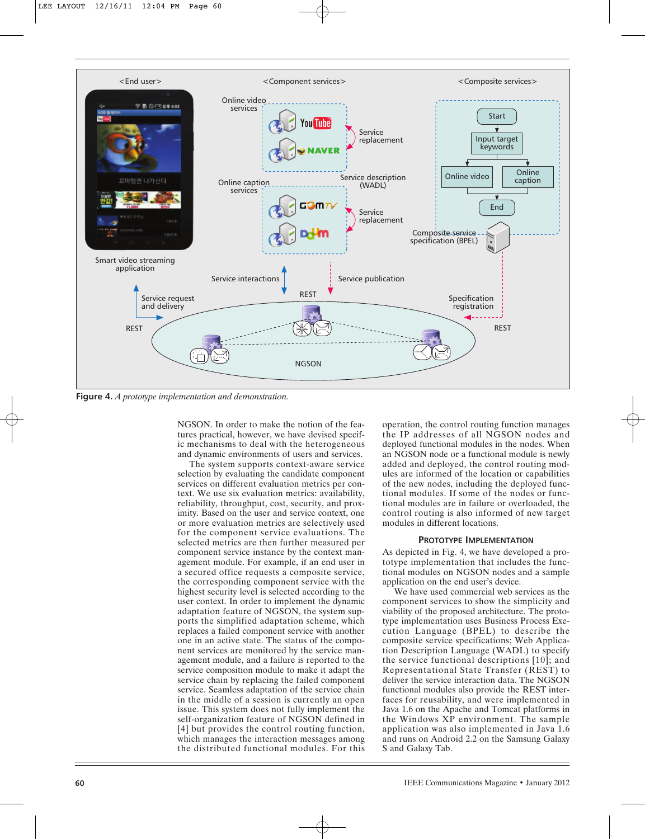

**Figure 4.** *A prototype implementation and demonstration.*

NGSON. In order to make the notion of the features practical, however, we have devised specific mechanisms to deal with the heterogeneous and dynamic environments of users and services.

The system supports context-aware service selection by evaluating the candidate component services on different evaluation metrics per context. We use six evaluation metrics: availability, reliability, throughput, cost, security, and proximity. Based on the user and service context, one or more evaluation metrics are selectively used for the component service evaluations. The selected metrics are then further measured per component service instance by the context management module. For example, if an end user in a secured office requests a composite service, the corresponding component service with the highest security level is selected according to the user context. In order to implement the dynamic adaptation feature of NGSON, the system supports the simplified adaptation scheme, which replaces a failed component service with another one in an active state. The status of the component services are monitored by the service management module, and a failure is reported to the service composition module to make it adapt the service chain by replacing the failed component service. Seamless adaptation of the service chain in the middle of a session is currently an open issue. This system does not fully implement the self-organization feature of NGSON defined in [4] but provides the control routing function, which manages the interaction messages among the distributed functional modules. For this

operation, the control routing function manages the IP addresses of all NGSON nodes and deployed functional modules in the nodes. When an NGSON node or a functional module is newly added and deployed, the control routing modules are informed of the location or capabilities of the new nodes, including the deployed functional modules. If some of the nodes or functional modules are in failure or overloaded, the control routing is also informed of new target modules in different locations.

#### **PROTOTYPE IMPLEMENTATION**

As depicted in Fig. 4, we have developed a prototype implementation that includes the functional modules on NGSON nodes and a sample application on the end user's device.

We have used commercial web services as the component services to show the simplicity and viability of the proposed architecture. The prototype implementation uses Business Process Execution Language (BPEL) to describe the composite service specifications; Web Application Description Language (WADL) to specify the service functional descriptions [10]; and Representational State Transfer (REST) to deliver the service interaction data. The NGSON functional modules also provide the REST interfaces for reusability, and were implemented in Java 1.6 on the Apache and Tomcat platforms in the Windows XP environment. The sample application was also implemented in Java 1.6 and runs on Android 2.2 on the Samsung Galaxy S and Galaxy Tab.